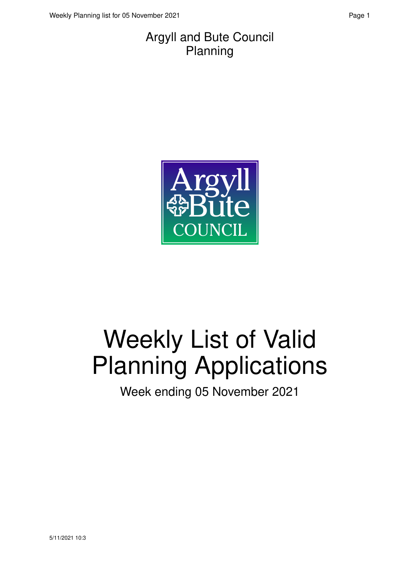#### Argyll and Bute Council Planning



# Weekly List of Valid Planning Applications

Week ending 05 November 2021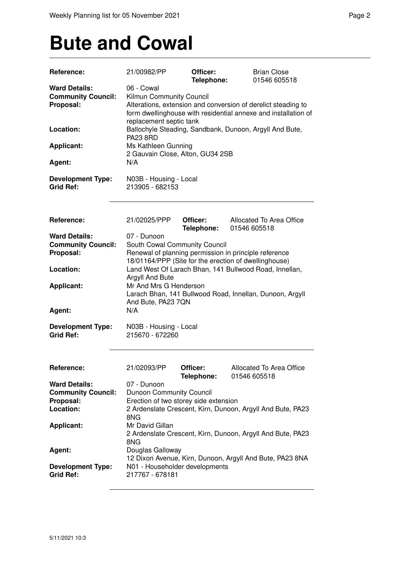### **Bute and Cowal**

| Reference:                | 21/00982/PP                                                                                                                     | Officer:<br>Telephone: | <b>Brian Close</b><br>01546 605518                         |
|---------------------------|---------------------------------------------------------------------------------------------------------------------------------|------------------------|------------------------------------------------------------|
| <b>Ward Details:</b>      | 06 - Cowal                                                                                                                      |                        |                                                            |
| <b>Community Council:</b> | Kilmun Community Council                                                                                                        |                        |                                                            |
| Proposal:                 |                                                                                                                                 |                        |                                                            |
|                           | Alterations, extension and conversion of derelict steading to<br>form dwellinghouse with residential annexe and installation of |                        |                                                            |
|                           | replacement septic tank                                                                                                         |                        |                                                            |
| Location:                 |                                                                                                                                 |                        | Ballochyle Steading, Sandbank, Dunoon, Argyll And Bute,    |
|                           | <b>PA23 8RD</b>                                                                                                                 |                        |                                                            |
| <b>Applicant:</b>         | Ms Kathleen Gunning                                                                                                             |                        |                                                            |
|                           | 2 Gauvain Close, Alton, GU34 2SB                                                                                                |                        |                                                            |
| Agent:                    | N/A                                                                                                                             |                        |                                                            |
|                           |                                                                                                                                 |                        |                                                            |
| <b>Development Type:</b>  | N03B - Housing - Local                                                                                                          |                        |                                                            |
| <b>Grid Ref:</b>          | 213905 - 682153                                                                                                                 |                        |                                                            |
|                           |                                                                                                                                 |                        |                                                            |
|                           |                                                                                                                                 |                        |                                                            |
|                           |                                                                                                                                 |                        |                                                            |
| Reference:                | 21/02025/PPP                                                                                                                    | Officer:<br>Telephone: | Allocated To Area Office<br>01546 605518                   |
| <b>Ward Details:</b>      | 07 - Dunoon                                                                                                                     |                        |                                                            |
| <b>Community Council:</b> | South Cowal Community Council                                                                                                   |                        |                                                            |
| Proposal:                 |                                                                                                                                 |                        | Renewal of planning permission in principle reference      |
|                           |                                                                                                                                 |                        | 18/01164/PPP (Site for the erection of dwellinghouse)      |
| Location:                 |                                                                                                                                 |                        | Land West Of Larach Bhan, 141 Bullwood Road, Innellan,     |
|                           | Argyll And Bute                                                                                                                 |                        |                                                            |
| <b>Applicant:</b>         | Mr And Mrs G Henderson                                                                                                          |                        |                                                            |
|                           |                                                                                                                                 |                        | Larach Bhan, 141 Bullwood Road, Innellan, Dunoon, Argyll   |
|                           | And Bute, PA23 7QN                                                                                                              |                        |                                                            |
| Agent:                    | N/A                                                                                                                             |                        |                                                            |
|                           |                                                                                                                                 |                        |                                                            |
| <b>Development Type:</b>  | N03B - Housing - Local                                                                                                          |                        |                                                            |
| <b>Grid Ref:</b>          | 215670 - 672260                                                                                                                 |                        |                                                            |
|                           |                                                                                                                                 |                        |                                                            |
|                           |                                                                                                                                 |                        |                                                            |
|                           |                                                                                                                                 |                        |                                                            |
| Reference:                | 21/02093/PP                                                                                                                     | Officer:               | Allocated To Area Office                                   |
|                           |                                                                                                                                 | Telephone:             | 01546 605518                                               |
| <b>Ward Details:</b>      | 07 - Dunoon                                                                                                                     |                        |                                                            |
| <b>Community Council:</b> | <b>Dunoon Community Council</b>                                                                                                 |                        |                                                            |
| Proposal:                 | Erection of two storey side extension                                                                                           |                        |                                                            |
| Location:                 |                                                                                                                                 |                        | 2 Ardenslate Crescent, Kirn, Dunoon, Argyll And Bute, PA23 |
|                           | 8NG                                                                                                                             |                        |                                                            |
| <b>Applicant:</b>         | Mr David Gillan                                                                                                                 |                        |                                                            |
|                           |                                                                                                                                 |                        | 2 Ardenslate Crescent, Kirn, Dunoon, Argyll And Bute, PA23 |
|                           | 8NG                                                                                                                             |                        |                                                            |
| Agent:                    | Douglas Galloway                                                                                                                |                        |                                                            |
|                           |                                                                                                                                 |                        | 12 Dixon Avenue, Kirn, Dunoon, Argyll And Bute, PA23 8NA   |
| <b>Development Type:</b>  | N01 - Householder developments                                                                                                  |                        |                                                            |
| <b>Grid Ref:</b>          | 217767 - 678181                                                                                                                 |                        |                                                            |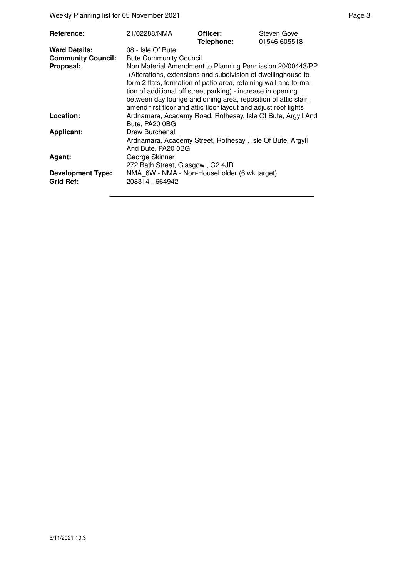Weekly Planning list for 05 November 2021 and the state of the Page 3 Page 3

| Reference:                | 21/02288/NMA                                                                                                                                                                                                                                                                                                                                                                                        | Officer:<br>Telephone: | Steven Gove<br>01546 605518 |  |
|---------------------------|-----------------------------------------------------------------------------------------------------------------------------------------------------------------------------------------------------------------------------------------------------------------------------------------------------------------------------------------------------------------------------------------------------|------------------------|-----------------------------|--|
| <b>Ward Details:</b>      | 08 - Isle Of Bute                                                                                                                                                                                                                                                                                                                                                                                   |                        |                             |  |
| <b>Community Council:</b> | <b>Bute Community Council</b>                                                                                                                                                                                                                                                                                                                                                                       |                        |                             |  |
| Proposal:                 | Non Material Amendment to Planning Permission 20/00443/PP<br>-(Alterations, extensions and subdivision of dwellinghouse to<br>form 2 flats, formation of patio area, retaining wall and forma-<br>tion of additional off street parking) - increase in opening<br>between day lounge and dining area, reposition of attic stair,<br>amend first floor and attic floor layout and adjust roof lights |                        |                             |  |
| Location:                 | Ardnamara, Academy Road, Rothesay, Isle Of Bute, Argyll And<br>Bute, PA20 0BG                                                                                                                                                                                                                                                                                                                       |                        |                             |  |
| <b>Applicant:</b>         | Drew Burchenal                                                                                                                                                                                                                                                                                                                                                                                      |                        |                             |  |
|                           | Ardnamara, Academy Street, Rothesay, Isle Of Bute, Argyll<br>And Bute, PA20 0BG                                                                                                                                                                                                                                                                                                                     |                        |                             |  |
| Agent:                    | George Skinner<br>272 Bath Street, Glasgow, G2 4JR                                                                                                                                                                                                                                                                                                                                                  |                        |                             |  |
| <b>Development Type:</b>  | NMA 6W - NMA - Non-Householder (6 wk target)                                                                                                                                                                                                                                                                                                                                                        |                        |                             |  |
| <b>Grid Ref:</b>          | 208314 - 664942                                                                                                                                                                                                                                                                                                                                                                                     |                        |                             |  |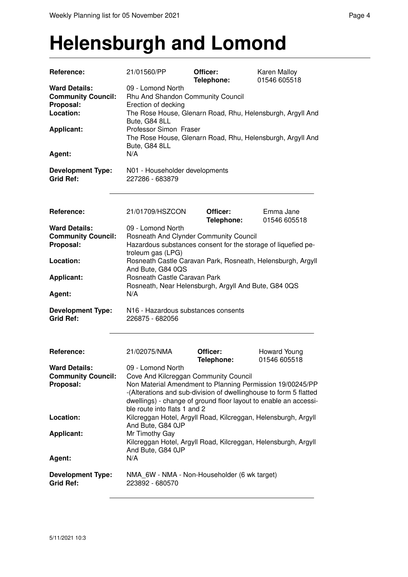### **Helensburgh and Lomond**

| Reference:                                                     | 21/01560/PP                                                                                                                                                                                                                                                                                      | Officer:<br>Telephone: | Karen Malloy<br>01546 605518                               |  |
|----------------------------------------------------------------|--------------------------------------------------------------------------------------------------------------------------------------------------------------------------------------------------------------------------------------------------------------------------------------------------|------------------------|------------------------------------------------------------|--|
| <b>Ward Details:</b><br><b>Community Council:</b><br>Proposal: | 09 - Lomond North<br>Rhu And Shandon Community Council<br>Erection of decking                                                                                                                                                                                                                    |                        |                                                            |  |
| Location:                                                      | Bute, G84 8LL                                                                                                                                                                                                                                                                                    |                        | The Rose House, Glenarn Road, Rhu, Helensburgh, Argyll And |  |
| <b>Applicant:</b>                                              | Professor Simon Fraser<br>Bute, G84 8LL                                                                                                                                                                                                                                                          |                        | The Rose House, Glenarn Road, Rhu, Helensburgh, Argyll And |  |
| Agent:                                                         | N/A                                                                                                                                                                                                                                                                                              |                        |                                                            |  |
| <b>Development Type:</b><br><b>Grid Ref:</b>                   | N01 - Householder developments<br>227286 - 683879                                                                                                                                                                                                                                                |                        |                                                            |  |
| Reference:                                                     | 21/01709/HSZCON                                                                                                                                                                                                                                                                                  | Officer:<br>Telephone: | Emma Jane<br>01546 605518                                  |  |
| <b>Ward Details:</b><br><b>Community Council:</b><br>Proposal: | 09 - Lomond North<br>Rosneath And Clynder Community Council<br>Hazardous substances consent for the storage of liquefied pe-                                                                                                                                                                     |                        |                                                            |  |
| Location:                                                      | troleum gas (LPG)<br>Rosneath Castle Caravan Park, Rosneath, Helensburgh, Argyll<br>And Bute, G84 0QS                                                                                                                                                                                            |                        |                                                            |  |
| <b>Applicant:</b>                                              | Rosneath Castle Caravan Park<br>Rosneath, Near Helensburgh, Argyll And Bute, G84 0QS                                                                                                                                                                                                             |                        |                                                            |  |
| Agent:                                                         | N/A                                                                                                                                                                                                                                                                                              |                        |                                                            |  |
| <b>Development Type:</b><br><b>Grid Ref:</b>                   | N16 - Hazardous substances consents<br>226875 - 682056                                                                                                                                                                                                                                           |                        |                                                            |  |
| Reference:                                                     | 21/02075/NMA                                                                                                                                                                                                                                                                                     | Officer:<br>Telephone: | Howard Young<br>01546 605518                               |  |
| <b>Ward Details:</b><br><b>Community Council:</b><br>Proposal: | 09 - Lomond North<br>Cove And Kilcreggan Community Council<br>Non Material Amendment to Planning Permission 19/00245/PP<br>-(Alterations and sub-division of dwellinghouse to form 5 flatted<br>dwellings) - change of ground floor layout to enable an accessi-<br>ble route into flats 1 and 2 |                        |                                                            |  |
| Location:                                                      | Kilcreggan Hotel, Argyll Road, Kilcreggan, Helensburgh, Argyll<br>And Bute, G84 0JP                                                                                                                                                                                                              |                        |                                                            |  |
| <b>Applicant:</b>                                              | Mr Timothy Gay<br>Kilcreggan Hotel, Argyll Road, Kilcreggan, Helensburgh, Argyll<br>And Bute, G84 0JP                                                                                                                                                                                            |                        |                                                            |  |
| Agent:                                                         | N/A                                                                                                                                                                                                                                                                                              |                        |                                                            |  |
| <b>Development Type:</b><br><b>Grid Ref:</b>                   | NMA_6W - NMA - Non-Householder (6 wk target)<br>223892 - 680570                                                                                                                                                                                                                                  |                        |                                                            |  |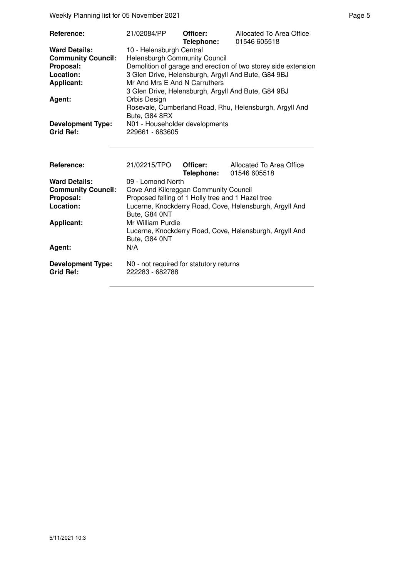Weekly Planning list for 05 November 2021 **Page 5** Page 5

| Reference:                | 21/02084/PP                                       | Officer:<br>Telephone: | Allocated To Area Office<br>01546 605518                       |  |
|---------------------------|---------------------------------------------------|------------------------|----------------------------------------------------------------|--|
| <b>Ward Details:</b>      | 10 - Helensburgh Central                          |                        |                                                                |  |
| <b>Community Council:</b> | <b>Helensburgh Community Council</b>              |                        |                                                                |  |
| Proposal:                 |                                                   |                        | Demolition of garage and erection of two storey side extension |  |
| Location:                 |                                                   |                        | 3 Glen Drive, Helensburgh, Argyll And Bute, G84 9BJ            |  |
| <b>Applicant:</b>         | Mr And Mrs E And N Carruthers                     |                        |                                                                |  |
|                           |                                                   |                        | 3 Glen Drive, Helensburgh, Argyll And Bute, G84 9BJ            |  |
| <b>Agent:</b>             | Orbis Design                                      |                        |                                                                |  |
|                           |                                                   |                        | Rosevale, Cumberland Road, Rhu, Helensburgh, Argyll And        |  |
|                           | Bute, G84 8RX                                     |                        |                                                                |  |
| <b>Development Type:</b>  | N01 - Householder developments                    |                        |                                                                |  |
| <b>Grid Ref:</b>          | 229661 - 683605                                   |                        |                                                                |  |
|                           |                                                   |                        |                                                                |  |
|                           |                                                   |                        |                                                                |  |
|                           |                                                   |                        |                                                                |  |
| Reference:                | 21/02215/TPO                                      | Officer:               | Allocated To Area Office                                       |  |
|                           |                                                   | Telephone:             | 01546 605518                                                   |  |
| <b>Ward Details:</b>      | 09 - Lomond North                                 |                        |                                                                |  |
| <b>Community Council:</b> | Cove And Kilcreggan Community Council             |                        |                                                                |  |
| Proposal:                 | Proposed felling of 1 Holly tree and 1 Hazel tree |                        |                                                                |  |

Lucerne, Knockderry Road, Cove, Helensburgh, Argyll And

Lucerne, Knockderry Road, Cove, Helensburgh, Argyll And

**Proposal:** Proposed felling of 1 Holly tree and 1 Hazel tree<br> **Location:** Lucerne, Knockderry Road, Cove, Helensburgh,

Bute, G84 0NT

Bute, G84 0NT

**Development Type:** N0 - not required for statutory returns<br>Grid Ref: 222283 - 682788 **Grid Ref:** 222283 - 682788

**Applicant:** Mr William Purdie

Agent: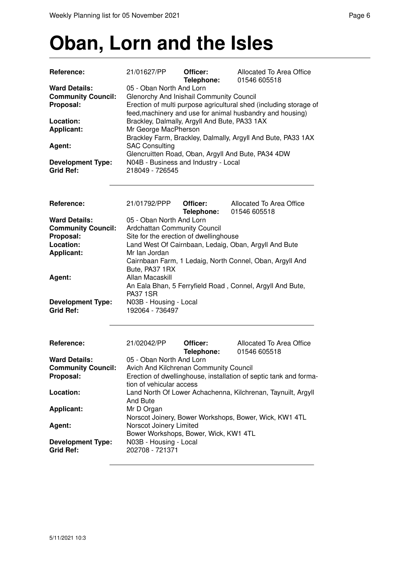#### **Oban, Lorn and the Isles**

| <b>Reference:</b>                                                                                          | 21/01627/PP                                                                                                                                                                                                                                                                                                                                                              | Officer:<br>Telephone: | Allocated To Area Office<br>01546 605518                          |  |  |
|------------------------------------------------------------------------------------------------------------|--------------------------------------------------------------------------------------------------------------------------------------------------------------------------------------------------------------------------------------------------------------------------------------------------------------------------------------------------------------------------|------------------------|-------------------------------------------------------------------|--|--|
| <b>Ward Details:</b><br><b>Community Council:</b><br>Proposal:<br>Location:<br><b>Applicant:</b><br>Agent: | 05 - Oban North And Lorn<br>Glenorchy And Inishail Community Council<br>Erection of multi purpose agricultural shed (including storage of<br>feed, machinery and use for animal husbandry and housing)<br>Brackley, Dalmally, Argyll And Bute, PA33 1AX<br>Mr George MacPherson<br>Brackley Farm, Brackley, Dalmally, Argyll And Bute, PA33 1AX<br><b>SAC Consulting</b> |                        |                                                                   |  |  |
| <b>Development Type:</b><br><b>Grid Ref:</b>                                                               | N04B - Business and Industry - Local<br>218049 - 726545                                                                                                                                                                                                                                                                                                                  |                        | Glencruitten Road, Oban, Argyll And Bute, PA34 4DW                |  |  |
|                                                                                                            |                                                                                                                                                                                                                                                                                                                                                                          |                        |                                                                   |  |  |
| Reference:                                                                                                 | 21/01792/PPP                                                                                                                                                                                                                                                                                                                                                             | Officer:<br>Telephone: | Allocated To Area Office<br>01546 605518                          |  |  |
| <b>Ward Details:</b><br><b>Community Council:</b><br>Proposal:<br>Location:                                | 05 - Oban North And Lorn<br>Ardchattan Community Council<br>Site for the erection of dwellinghouse<br>Land West Of Cairnbaan, Ledaig, Oban, Argyll And Bute                                                                                                                                                                                                              |                        |                                                                   |  |  |
| <b>Applicant:</b>                                                                                          | Mr Ian Jordan<br>Cairnbaan Farm, 1 Ledaig, North Connel, Oban, Argyll And<br>Bute, PA37 1RX                                                                                                                                                                                                                                                                              |                        |                                                                   |  |  |
| Agent:                                                                                                     | Allan Macaskill<br>An Eala Bhan, 5 Ferryfield Road, Connel, Argyll And Bute,<br><b>PA37 1SR</b>                                                                                                                                                                                                                                                                          |                        |                                                                   |  |  |
| <b>Development Type:</b><br><b>Grid Ref:</b>                                                               | N03B - Housing - Local<br>192064 - 736497                                                                                                                                                                                                                                                                                                                                |                        |                                                                   |  |  |
| Reference:                                                                                                 | 21/02042/PP                                                                                                                                                                                                                                                                                                                                                              | Officer:               | Allocated To Area Office                                          |  |  |
|                                                                                                            |                                                                                                                                                                                                                                                                                                                                                                          | Telephone:             | 01546 605518                                                      |  |  |
| <b>Ward Details:</b>                                                                                       | 05 - Oban North And Lorn                                                                                                                                                                                                                                                                                                                                                 |                        |                                                                   |  |  |
| <b>Community Council:</b>                                                                                  | Avich And Kilchrenan Community Council                                                                                                                                                                                                                                                                                                                                   |                        |                                                                   |  |  |
| Proposal:                                                                                                  |                                                                                                                                                                                                                                                                                                                                                                          |                        | Erection of dwellinghouse, installation of septic tank and forma- |  |  |
| Location:                                                                                                  | tion of vehicular access<br>Land North Of Lower Achachenna, Kilchrenan, Taynuilt, Argyll<br>And Bute                                                                                                                                                                                                                                                                     |                        |                                                                   |  |  |
| <b>Applicant:</b>                                                                                          | Mr D Organ                                                                                                                                                                                                                                                                                                                                                               |                        | Norscot Joinery, Bower Workshops, Bower, Wick, KW1 4TL            |  |  |
| Agent:                                                                                                     | Norscot Joinery Limited<br>Bower Workshops, Bower, Wick, KW1 4TL                                                                                                                                                                                                                                                                                                         |                        |                                                                   |  |  |
| <b>Development Type:</b><br><b>Grid Ref:</b>                                                               | N03B - Housing - Local<br>202708 - 721371                                                                                                                                                                                                                                                                                                                                |                        |                                                                   |  |  |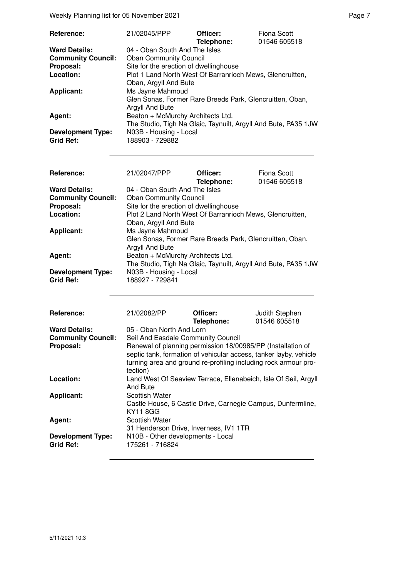Weekly Planning list for 05 November 2021 and the control of the Page 7 Page 7

| <b>Reference:</b>                            | 21/02045/PPP                                                                | Officer:<br>Telephone: | Fiona Scott<br>01546 605518 |
|----------------------------------------------|-----------------------------------------------------------------------------|------------------------|-----------------------------|
| <b>Ward Details:</b>                         | 04 - Oban South And The Isles                                               |                        |                             |
| <b>Community Council:</b>                    | <b>Oban Community Council</b>                                               |                        |                             |
| Proposal:                                    | Site for the erection of dwellinghouse                                      |                        |                             |
| Location:                                    | Plot 1 Land North West Of Barranrioch Mews, Glencruitten,                   |                        |                             |
|                                              | Oban, Argyll And Bute                                                       |                        |                             |
| <b>Applicant:</b>                            | Ms Jayne Mahmoud                                                            |                        |                             |
|                                              | Glen Sonas, Former Rare Breeds Park, Glencruitten, Oban,<br>Argyll And Bute |                        |                             |
| Agent:                                       | Beaton + McMurchy Architects Ltd.                                           |                        |                             |
|                                              | The Studio, Tigh Na Glaic, Taynuilt, Argyll And Bute, PA35 1JW              |                        |                             |
| <b>Development Type:</b><br><b>Grid Ref:</b> | N03B - Housing - Local<br>188903 - 729882                                   |                        |                             |

| Reference:                                   | 21/02047/PPP                                                                | Officer:<br>Telephone: | Fiona Scott<br>01546 605518 |
|----------------------------------------------|-----------------------------------------------------------------------------|------------------------|-----------------------------|
| <b>Ward Details:</b>                         | 04 - Oban South And The Isles                                               |                        |                             |
| <b>Community Council:</b>                    | <b>Oban Community Council</b>                                               |                        |                             |
| Proposal:                                    | Site for the erection of dwellinghouse                                      |                        |                             |
| Location:                                    | Plot 2 Land North West Of Barranrioch Mews, Glencruitten,                   |                        |                             |
|                                              | Oban, Argyll And Bute                                                       |                        |                             |
| <b>Applicant:</b>                            | Ms Jayne Mahmoud                                                            |                        |                             |
|                                              | Glen Sonas, Former Rare Breeds Park, Glencruitten, Oban,<br>Argyll And Bute |                        |                             |
| Agent:                                       | Beaton + McMurchy Architects Ltd.                                           |                        |                             |
|                                              | The Studio, Tigh Na Glaic, Taynuilt, Argyll And Bute, PA35 1JW              |                        |                             |
| <b>Development Type:</b><br><b>Grid Ref:</b> | N03B - Housing - Local<br>188927 - 729841                                   |                        |                             |

| Reference:                                   | 21/02082/PP                                                                                                                                                                                                     | Officer:<br>Telephone: | Judith Stephen<br>01546 605518                                  |  |
|----------------------------------------------|-----------------------------------------------------------------------------------------------------------------------------------------------------------------------------------------------------------------|------------------------|-----------------------------------------------------------------|--|
| <b>Ward Details:</b>                         | 05 - Oban North And Lorn                                                                                                                                                                                        |                        |                                                                 |  |
| <b>Community Council:</b>                    | Seil And Easdale Community Council                                                                                                                                                                              |                        |                                                                 |  |
| Proposal:                                    | Renewal of planning permission 18/00985/PP (Installation of<br>septic tank, formation of vehicular access, tanker layby, vehicle<br>turning area and ground re-profiling including rock armour pro-<br>tection) |                        |                                                                 |  |
| Location:                                    | And Bute                                                                                                                                                                                                        |                        | Land West Of Seaview Terrace, Ellenabeich, Isle Of Seil, Argyll |  |
| <b>Applicant:</b>                            | <b>Scottish Water</b><br>Castle House, 6 Castle Drive, Carnegie Campus, Dunfermline,<br><b>KY11 8GG</b>                                                                                                         |                        |                                                                 |  |
| Agent:                                       | <b>Scottish Water</b><br>31 Henderson Drive, Inverness, IV1 1TR                                                                                                                                                 |                        |                                                                 |  |
| <b>Development Type:</b><br><b>Grid Ref:</b> | N10B - Other developments - Local<br>175261 - 716824                                                                                                                                                            |                        |                                                                 |  |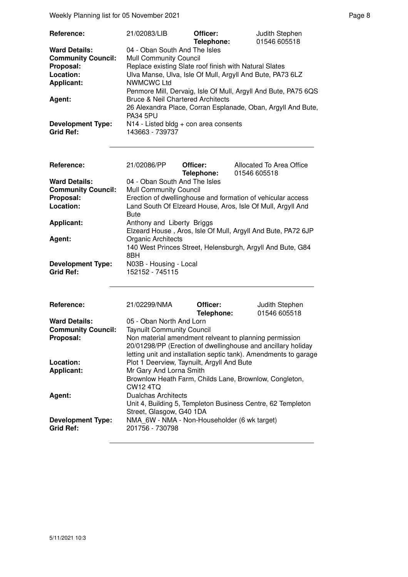Weekly Planning list for 05 November 2021 and the control of the Page 8 Page 8

| Reference:                | 21/02083/LIB                                                   | Officer:   | Judith Stephen |
|---------------------------|----------------------------------------------------------------|------------|----------------|
|                           |                                                                | Telephone: | 01546 605518   |
| <b>Ward Details:</b>      | 04 - Oban South And The Isles                                  |            |                |
| <b>Community Council:</b> | <b>Mull Community Council</b>                                  |            |                |
| Proposal:                 | Replace existing Slate roof finish with Natural Slates         |            |                |
| Location:                 | Ulva Manse, Ulva, Isle Of Mull, Argyll And Bute, PA73 6LZ      |            |                |
| <b>Applicant:</b>         | <b>NWMCWC Ltd</b>                                              |            |                |
|                           | Penmore Mill, Dervaig, Isle Of Mull, Argyll And Bute, PA75 6QS |            |                |
| Agent:                    | <b>Bruce &amp; Neil Chartered Architects</b>                   |            |                |
|                           | 26 Alexandra Place, Corran Esplanade, Oban, Argyll And Bute,   |            |                |
|                           | <b>PA34 5PU</b>                                                |            |                |
| <b>Development Type:</b>  | $N14$ - Listed bldg + con area consents                        |            |                |
| <b>Grid Ref:</b>          | 143663 - 739737                                                |            |                |

| Reference:                                   | 21/02086/PP                                                                             | Officer:<br>Telephone: | Allocated To Area Office<br>01546 605518                     |  |
|----------------------------------------------|-----------------------------------------------------------------------------------------|------------------------|--------------------------------------------------------------|--|
| <b>Ward Details:</b>                         | 04 - Oban South And The Isles                                                           |                        |                                                              |  |
| <b>Community Council:</b>                    | <b>Mull Community Council</b>                                                           |                        |                                                              |  |
| Proposal:                                    |                                                                                         |                        | Erection of dwellinghouse and formation of vehicular access  |  |
| Location:                                    | <b>Bute</b>                                                                             |                        | Land South Of Elzeard House, Aros, Isle Of Mull, Argyll And  |  |
| <b>Applicant:</b>                            | Anthony and Liberty Briggs                                                              |                        | Elzeard House, Aros, Isle Of Mull, Argyll And Bute, PA72 6JP |  |
| Agent:                                       | Organic Architects<br>140 West Princes Street, Helensburgh, Argyll And Bute, G84<br>8BH |                        |                                                              |  |
| <b>Development Type:</b><br><b>Grid Ref:</b> | N03B - Housing - Local<br>152152 - 745115                                               |                        |                                                              |  |

| Reference:                                   | 21/02299/NMA                                                                                                                                                                               | Officer:<br>Telephone: | Judith Stephen<br>01546 605518 |
|----------------------------------------------|--------------------------------------------------------------------------------------------------------------------------------------------------------------------------------------------|------------------------|--------------------------------|
| <b>Ward Details:</b>                         | 05 - Oban North And Lorn                                                                                                                                                                   |                        |                                |
| <b>Community Council:</b>                    | <b>Taynuilt Community Council</b>                                                                                                                                                          |                        |                                |
| Proposal:                                    | Non material amendment relveant to planning permission<br>20/01298/PP (Erection of dwellinghouse and ancillary holiday<br>letting unit and installation septic tank). Amendments to garage |                        |                                |
| Location:                                    | Plot 1 Deerview, Taynuilt, Argyll And Bute                                                                                                                                                 |                        |                                |
| <b>Applicant:</b>                            | Mr Gary And Lorna Smith                                                                                                                                                                    |                        |                                |
|                                              | Brownlow Heath Farm, Childs Lane, Brownlow, Congleton,<br>CW <sub>12</sub> 4TQ                                                                                                             |                        |                                |
| Agent:                                       | <b>Dualchas Architects</b>                                                                                                                                                                 |                        |                                |
|                                              | Unit 4, Building 5, Templeton Business Centre, 62 Templeton<br>Street, Glasgow, G40 1DA                                                                                                    |                        |                                |
| <b>Development Type:</b><br><b>Grid Ref:</b> | NMA 6W - NMA - Non-Householder (6 wk target)<br>201756 - 730798                                                                                                                            |                        |                                |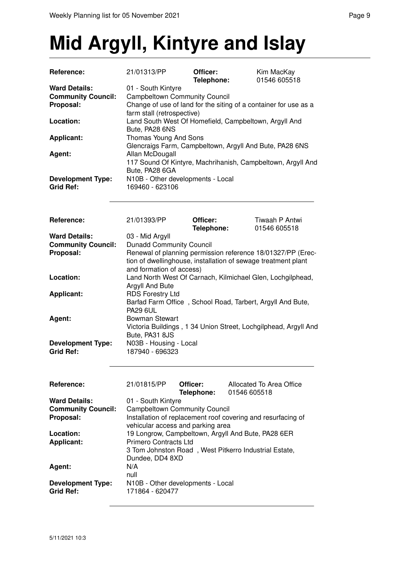## **Mid Argyll, Kintyre and Islay**

| Reference:                | 21/01313/PP                                                 | Officer:   | Kim MacKay                                                       |  |
|---------------------------|-------------------------------------------------------------|------------|------------------------------------------------------------------|--|
|                           |                                                             | Telephone: | 01546 605518                                                     |  |
| <b>Ward Details:</b>      | 01 - South Kintyre                                          |            |                                                                  |  |
| <b>Community Council:</b> | <b>Campbeltown Community Council</b>                        |            |                                                                  |  |
| Proposal:                 |                                                             |            | Change of use of land for the siting of a container for use as a |  |
|                           | farm stall (retrospective)                                  |            |                                                                  |  |
| Location:                 |                                                             |            | Land South West Of Homefield, Campbeltown, Argyll And            |  |
|                           | Bute, PA28 6NS                                              |            |                                                                  |  |
| <b>Applicant:</b>         | Thomas Young And Sons                                       |            |                                                                  |  |
|                           |                                                             |            |                                                                  |  |
|                           | Glencraigs Farm, Campbeltown, Argyll And Bute, PA28 6NS     |            |                                                                  |  |
| Agent:                    | Allan McDougall                                             |            |                                                                  |  |
|                           | 117 Sound Of Kintyre, Machrihanish, Campbeltown, Argyll And |            |                                                                  |  |
|                           | Bute, PA28 6GA                                              |            |                                                                  |  |
| <b>Development Type:</b>  | N10B - Other developments - Local                           |            |                                                                  |  |
| <b>Grid Ref:</b>          | 169460 - 623106                                             |            |                                                                  |  |
|                           |                                                             |            |                                                                  |  |
|                           |                                                             |            |                                                                  |  |
|                           |                                                             |            |                                                                  |  |
| Reference:                | 21/01393/PP                                                 | Officer:   | Tiwaah P Antwi                                                   |  |
|                           |                                                             | Telephone: | 01546 605518                                                     |  |
| <b>Ward Details:</b>      | 03 - Mid Argyll                                             |            |                                                                  |  |
| <b>Community Council:</b> | <b>Dunadd Community Council</b>                             |            |                                                                  |  |
|                           |                                                             |            |                                                                  |  |
| Proposal:                 |                                                             |            | Renewal of planning permission reference 18/01327/PP (Erec-      |  |
|                           |                                                             |            | tion of dwellinghouse, installation of sewage treatment plant    |  |
|                           | and formation of access)                                    |            |                                                                  |  |
| Location:                 |                                                             |            | Land North West Of Carnach, Kilmichael Glen, Lochgilphead,       |  |
|                           | Argyll And Bute                                             |            |                                                                  |  |
| <b>Applicant:</b>         | <b>RDS Forestry Ltd</b>                                     |            |                                                                  |  |
|                           |                                                             |            | Barfad Farm Office, School Road, Tarbert, Argyll And Bute,       |  |
|                           | <b>PA29 6UL</b>                                             |            |                                                                  |  |
| Agent:                    | <b>Bowman Stewart</b>                                       |            |                                                                  |  |
|                           |                                                             |            | Victoria Buildings, 1 34 Union Street, Lochgilphead, Argyll And  |  |
|                           | Bute, PA31 8JS                                              |            |                                                                  |  |
|                           |                                                             |            |                                                                  |  |
| <b>Development Type:</b>  | N03B - Housing - Local                                      |            |                                                                  |  |
| <b>Grid Ref:</b>          | 187940 - 696323                                             |            |                                                                  |  |
|                           |                                                             |            |                                                                  |  |
|                           |                                                             |            |                                                                  |  |
|                           |                                                             |            |                                                                  |  |
| Reference:                | 21/01815/PP                                                 | Officer:   | Allocated To Area Office                                         |  |
|                           |                                                             | Telephone: | 01546 605518                                                     |  |
| <b>Ward Details:</b>      | 01 - South Kintyre                                          |            |                                                                  |  |
| <b>Community Council:</b> | <b>Campbeltown Community Council</b>                        |            |                                                                  |  |
| Proposal:                 |                                                             |            | Installation of replacement roof covering and resurfacing of     |  |
|                           | vehicular access and parking area                           |            |                                                                  |  |
| Location:                 |                                                             |            | 19 Longrow, Campbeltown, Argyll And Bute, PA28 6ER               |  |
| <b>Applicant:</b>         | Primero Contracts Ltd                                       |            |                                                                  |  |
|                           |                                                             |            | 3 Tom Johnston Road, West Pitkerro Industrial Estate,            |  |
|                           | Dundee, DD4 8XD                                             |            |                                                                  |  |
|                           |                                                             |            |                                                                  |  |
| Agent:                    | N/A                                                         |            |                                                                  |  |
|                           | null                                                        |            |                                                                  |  |
| <b>Development Type:</b>  | N10B - Other developments - Local                           |            |                                                                  |  |
| <b>Grid Ref:</b>          | 171864 - 620477                                             |            |                                                                  |  |
|                           |                                                             |            |                                                                  |  |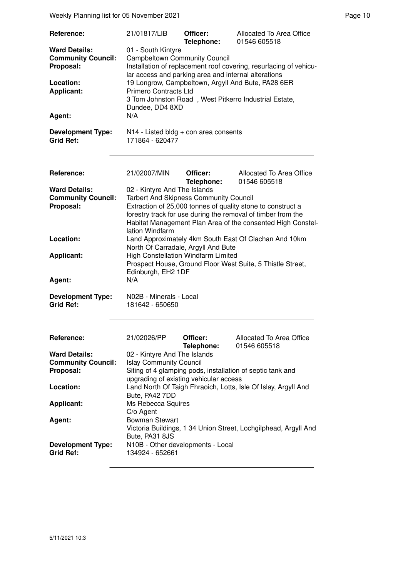Weekly Planning list for 05 November 2021 **Page 10** Page 10

| Reference:<br><b>Ward Details:</b>           | 21/01817/LIB                                                                                                                                                                            | Officer:<br>Telephone: | Allocated To Area Office<br>01546 605518                                                                                    |  |
|----------------------------------------------|-----------------------------------------------------------------------------------------------------------------------------------------------------------------------------------------|------------------------|-----------------------------------------------------------------------------------------------------------------------------|--|
| <b>Community Council:</b><br>Proposal:       | 01 - South Kintyre<br><b>Campbeltown Community Council</b><br>Installation of replacement roof covering, resurfacing of vehicu-<br>lar access and parking area and internal alterations |                        |                                                                                                                             |  |
| Location:<br><b>Applicant:</b>               | 19 Longrow, Campbeltown, Argyll And Bute, PA28 6ER<br><b>Primero Contracts Ltd</b><br>3 Tom Johnston Road, West Pitkerro Industrial Estate,                                             |                        |                                                                                                                             |  |
| Agent:                                       | Dundee, DD4 8XD<br>N/A                                                                                                                                                                  |                        |                                                                                                                             |  |
| <b>Development Type:</b><br><b>Grid Ref:</b> | N14 - Listed bldg + con area consents<br>171864 - 620477                                                                                                                                |                        |                                                                                                                             |  |
| <b>Reference:</b>                            | 21/02007/MIN                                                                                                                                                                            | Officer:<br>Telephone: | Allocated To Area Office<br>01546 605518                                                                                    |  |
| <b>Ward Details:</b>                         | 02 - Kintyre And The Islands                                                                                                                                                            |                        |                                                                                                                             |  |
| <b>Community Council:</b><br>Proposal:       | <b>Tarbert And Skipness Community Council</b>                                                                                                                                           |                        | Extraction of 25,000 tonnes of quality stone to construct a                                                                 |  |
|                                              | lation Windfarm                                                                                                                                                                         |                        | forestry track for use during the removal of timber from the<br>Habitat Management Plan Area of the consented High Constel- |  |
| Location:                                    | Land Approximately 4km South East Of Clachan And 10km<br>North Of Carradale, Argyll And Bute                                                                                            |                        |                                                                                                                             |  |
| <b>Applicant:</b>                            | High Constellation Windfarm Limited<br>Prospect House, Ground Floor West Suite, 5 Thistle Street,<br>Edinburgh, EH2 1DF                                                                 |                        |                                                                                                                             |  |
| Agent:                                       | N/A                                                                                                                                                                                     |                        |                                                                                                                             |  |
| <b>Development Type:</b><br><b>Grid Ref:</b> | N02B - Minerals - Local<br>181642 - 650650                                                                                                                                              |                        |                                                                                                                             |  |
|                                              |                                                                                                                                                                                         |                        |                                                                                                                             |  |
| <b>Reference:</b>                            | 21/02026/PP                                                                                                                                                                             | Officer:<br>Telephone: | Allocated To Area Office<br>01546 605518                                                                                    |  |
| <b>Ward Details:</b>                         | 02 - Kintyre And The Islands                                                                                                                                                            |                        |                                                                                                                             |  |
| <b>Community Council:</b>                    | <b>Islay Community Council</b>                                                                                                                                                          |                        |                                                                                                                             |  |
| Proposal:                                    |                                                                                                                                                                                         |                        | Siting of 4 glamping pods, installation of septic tank and                                                                  |  |
| Location:                                    | upgrading of existing vehicular access<br>Land North Of Taigh Fhraoich, Lotts, Isle Of Islay, Argyll And<br>Bute, PA42 7DD                                                              |                        |                                                                                                                             |  |
| <b>Applicant:</b>                            | Ms Rebecca Squires                                                                                                                                                                      |                        |                                                                                                                             |  |
| Agent:                                       | C/o Agent<br><b>Bowman Stewart</b>                                                                                                                                                      |                        |                                                                                                                             |  |
|                                              |                                                                                                                                                                                         |                        | Victoria Buildings, 1 34 Union Street, Lochgilphead, Argyll And                                                             |  |
|                                              | Bute, PA31 8JS                                                                                                                                                                          |                        |                                                                                                                             |  |
| <b>Development Type:</b><br><b>Grid Ref:</b> | N10B - Other developments - Local<br>134924 - 652661                                                                                                                                    |                        |                                                                                                                             |  |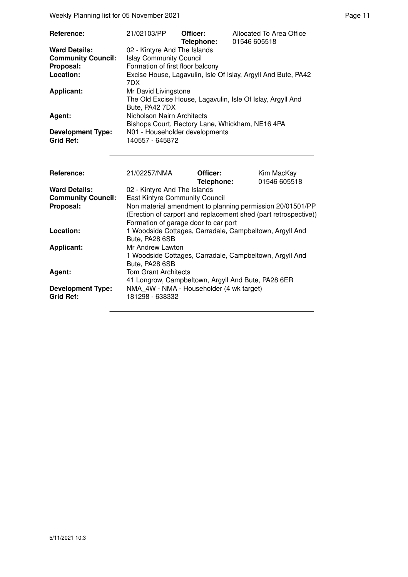Weekly Planning list for 05 November 2021 **Page 11** and the US of the Page 11

| <b>Reference:</b>                            | 21/02103/PP                                                                                          | Officer:<br>Telephone: | Allocated To Area Office<br>01546 605518                      |  |  |
|----------------------------------------------|------------------------------------------------------------------------------------------------------|------------------------|---------------------------------------------------------------|--|--|
| <b>Ward Details:</b>                         | 02 - Kintyre And The Islands                                                                         |                        |                                                               |  |  |
| <b>Community Council:</b>                    | <b>Islay Community Council</b>                                                                       |                        |                                                               |  |  |
| Proposal:                                    | Formation of first floor balcony                                                                     |                        |                                                               |  |  |
| Location:                                    | 7DX                                                                                                  |                        | Excise House, Lagavulin, Isle Of Islay, Argyll And Bute, PA42 |  |  |
| <b>Applicant:</b>                            | Mr David Livingstone<br>The Old Excise House, Lagavulin, Isle Of Islay, Argyll And<br>Bute, PA42 7DX |                        |                                                               |  |  |
| Agent:                                       | Nicholson Nairn Architects                                                                           |                        | Bishops Court, Rectory Lane, Whickham, NE16 4PA               |  |  |
| <b>Development Type:</b><br><b>Grid Ref:</b> | N01 - Householder developments<br>140557 - 645872                                                    |                        |                                                               |  |  |

| Reference:                                   | 21/02257/NMA                                                                                                                                                         | Officer:<br>Telephone: | Kim MacKay<br>01546 605518 |  |
|----------------------------------------------|----------------------------------------------------------------------------------------------------------------------------------------------------------------------|------------------------|----------------------------|--|
| <b>Ward Details:</b>                         | 02 - Kintyre And The Islands                                                                                                                                         |                        |                            |  |
| <b>Community Council:</b>                    | <b>East Kintyre Community Council</b>                                                                                                                                |                        |                            |  |
| Proposal:                                    | Non material amendment to planning permission 20/01501/PP<br>(Erection of carport and replacement shed (part retrospective))<br>Formation of garage door to car port |                        |                            |  |
| Location:                                    | 1 Woodside Cottages, Carradale, Campbeltown, Argyll And<br>Bute, PA28 6SB                                                                                            |                        |                            |  |
| <b>Applicant:</b>                            | Mr Andrew Lawton<br>1 Woodside Cottages, Carradale, Campbeltown, Argyll And<br>Bute, PA28 6SB                                                                        |                        |                            |  |
| Agent:                                       | <b>Tom Grant Architects</b><br>41 Longrow, Campbeltown, Argyll And Bute, PA28 6ER                                                                                    |                        |                            |  |
| <b>Development Type:</b><br><b>Grid Ref:</b> | NMA 4W - NMA - Householder (4 wk target)<br>181298 - 638332                                                                                                          |                        |                            |  |